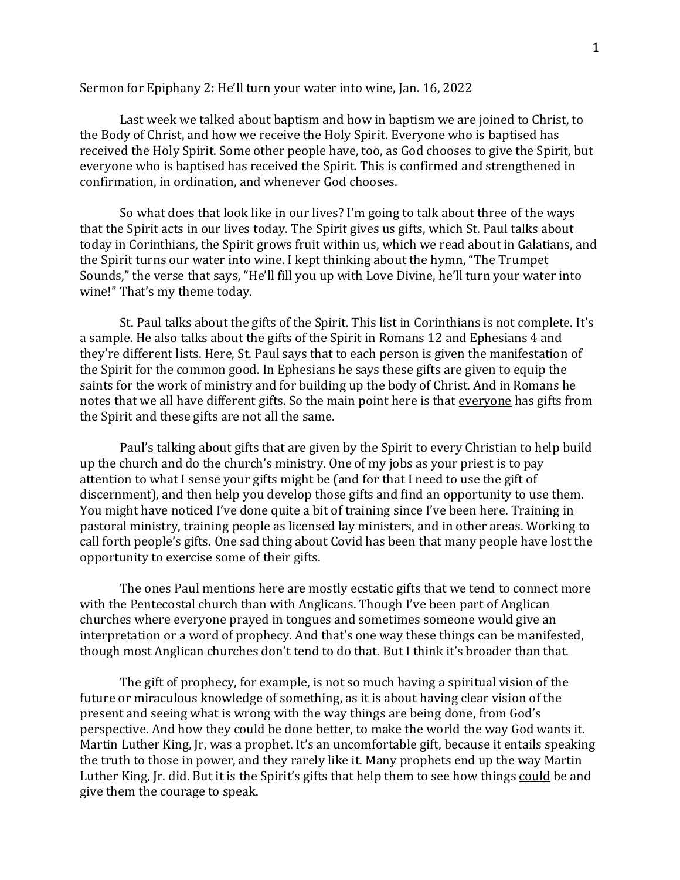## Sermon for Epiphany 2: He'll turn your water into wine, Jan. 16, 2022

Last week we talked about baptism and how in baptism we are joined to Christ, to the Body of Christ, and how we receive the Holy Spirit. Everyone who is baptised has received the Holy Spirit. Some other people have, too, as God chooses to give the Spirit, but everyone who is baptised has received the Spirit. This is confirmed and strengthened in confirmation, in ordination, and whenever God chooses.

So what does that look like in our lives? I'm going to talk about three of the ways that the Spirit acts in our lives today. The Spirit gives us gifts, which St. Paul talks about today in Corinthians, the Spirit grows fruit within us, which we read about in Galatians, and the Spirit turns our water into wine. I kept thinking about the hymn, "The Trumpet Sounds," the verse that says, "He'll fill you up with Love Divine, he'll turn your water into wine!" That's my theme today.

St. Paul talks about the gifts of the Spirit. This list in Corinthians is not complete. It's a sample. He also talks about the gifts of the Spirit in Romans 12 and Ephesians 4 and they're different lists. Here, St. Paul says that to each person is given the manifestation of the Spirit for the common good. In Ephesians he says these gifts are given to equip the saints for the work of ministry and for building up the body of Christ. And in Romans he notes that we all have different gifts. So the main point here is that everyone has gifts from the Spirit and these gifts are not all the same.

Paul's talking about gifts that are given by the Spirit to every Christian to help build up the church and do the church's ministry. One of my jobs as your priest is to pay attention to what I sense your gifts might be (and for that I need to use the gift of discernment), and then help you develop those gifts and find an opportunity to use them. You might have noticed I've done quite a bit of training since I've been here. Training in pastoral ministry, training people as licensed lay ministers, and in other areas. Working to call forth people's gifts. One sad thing about Covid has been that many people have lost the opportunity to exercise some of their gifts.

The ones Paul mentions here are mostly ecstatic gifts that we tend to connect more with the Pentecostal church than with Anglicans. Though I've been part of Anglican churches where everyone prayed in tongues and sometimes someone would give an interpretation or a word of prophecy. And that's one way these things can be manifested, though most Anglican churches don't tend to do that. But I think it's broader than that.

The gift of prophecy, for example, is not so much having a spiritual vision of the future or miraculous knowledge of something, as it is about having clear vision of the present and seeing what is wrong with the way things are being done, from God's perspective. And how they could be done better, to make the world the way God wants it. Martin Luther King, Jr, was a prophet. It's an uncomfortable gift, because it entails speaking the truth to those in power, and they rarely like it. Many prophets end up the way Martin Luther King, Jr. did. But it is the Spirit's gifts that help them to see how things could be and give them the courage to speak.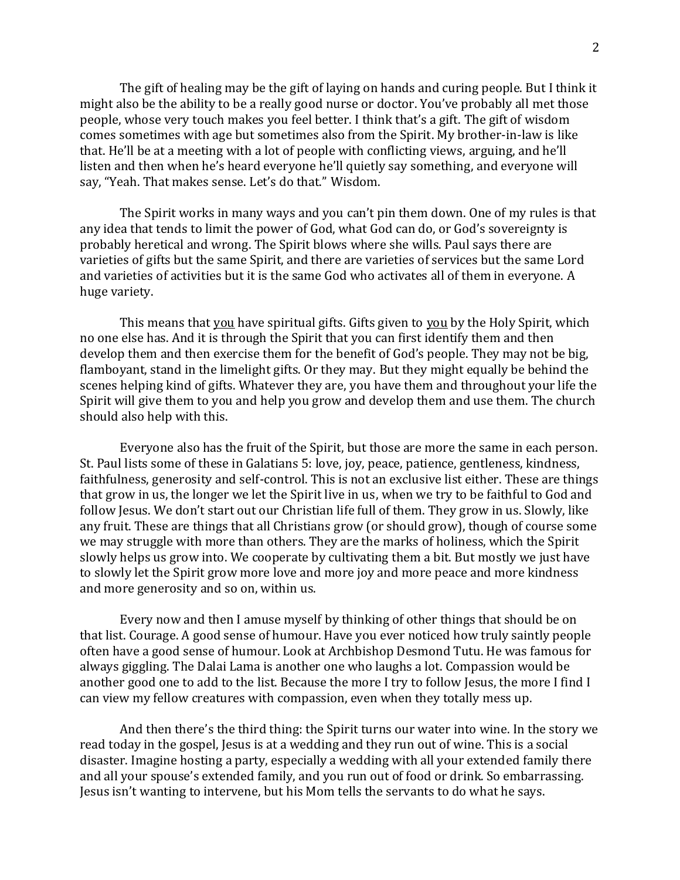The gift of healing may be the gift of laying on hands and curing people. But I think it might also be the ability to be a really good nurse or doctor. You've probably all met those people, whose very touch makes you feel better. I think that's a gift. The gift of wisdom comes sometimes with age but sometimes also from the Spirit. My brother-in-law is like that. He'll be at a meeting with a lot of people with conflicting views, arguing, and he'll listen and then when he's heard everyone he'll quietly say something, and everyone will say, "Yeah. That makes sense. Let's do that." Wisdom.

The Spirit works in many ways and you can't pin them down. One of my rules is that any idea that tends to limit the power of God, what God can do, or God's sovereignty is probably heretical and wrong. The Spirit blows where she wills. Paul says there are varieties of gifts but the same Spirit, and there are varieties of services but the same Lord and varieties of activities but it is the same God who activates all of them in everyone. A huge variety.

This means that you have spiritual gifts. Gifts given to you by the Holy Spirit, which no one else has. And it is through the Spirit that you can first identify them and then develop them and then exercise them for the benefit of God's people. They may not be big, flamboyant, stand in the limelight gifts. Or they may. But they might equally be behind the scenes helping kind of gifts. Whatever they are, you have them and throughout your life the Spirit will give them to you and help you grow and develop them and use them. The church should also help with this.

Everyone also has the fruit of the Spirit, but those are more the same in each person. St. Paul lists some of these in Galatians 5: love, joy, peace, patience, gentleness, kindness, faithfulness, generosity and self-control. This is not an exclusive list either. These are things that grow in us, the longer we let the Spirit live in us, when we try to be faithful to God and follow Jesus. We don't start out our Christian life full of them. They grow in us. Slowly, like any fruit. These are things that all Christians grow (or should grow), though of course some we may struggle with more than others. They are the marks of holiness, which the Spirit slowly helps us grow into. We cooperate by cultivating them a bit. But mostly we just have to slowly let the Spirit grow more love and more joy and more peace and more kindness and more generosity and so on, within us.

Every now and then I amuse myself by thinking of other things that should be on that list. Courage. A good sense of humour. Have you ever noticed how truly saintly people often have a good sense of humour. Look at Archbishop Desmond Tutu. He was famous for always giggling. The Dalai Lama is another one who laughs a lot. Compassion would be another good one to add to the list. Because the more I try to follow Jesus, the more I find I can view my fellow creatures with compassion, even when they totally mess up.

And then there's the third thing: the Spirit turns our water into wine. In the story we read today in the gospel, Jesus is at a wedding and they run out of wine. This is a social disaster. Imagine hosting a party, especially a wedding with all your extended family there and all your spouse's extended family, and you run out of food or drink. So embarrassing. Jesus isn't wanting to intervene, but his Mom tells the servants to do what he says.